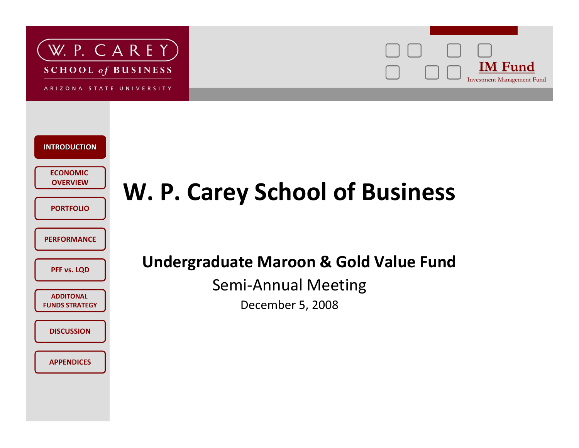

ARIZONA STATE UNIVERSITY





### **W. P. Carey School of Business**

#### **Undergraduate Maroon & Gold Value Fund**

Semi‐Annual Meeting

December 5, 2008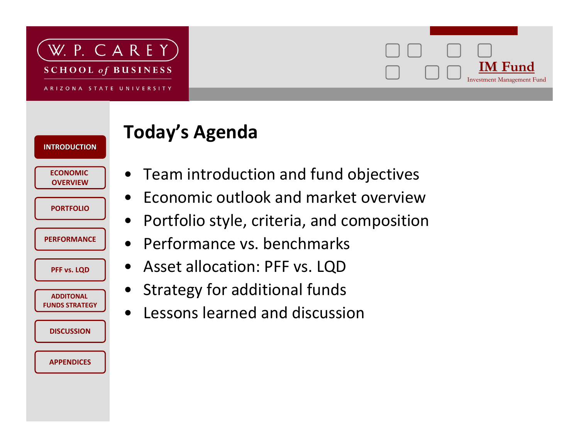



**Today's Agenda**

**ECONOMICOVERVIEW**

**INTRODUCTIONINTRODUCTION**

**PORTFOLIO**

**PERFORMANCE**

**PFF vs. LQD**

**ADDITONALFUNDS STRATEGY**

**DISCUSSION**

**APPENDICES**

 Team introduction and fund objectives •• Economic outlook and market overview

•

- $\bullet$ Portfolio style, criteria, and composition
- $\bullet$ Performance vs. benchmarks
- $\bullet$ Asset allocation: PFF vs. LQD
- •Strategy for additional funds
- $\bullet$ Lessons learned and discussion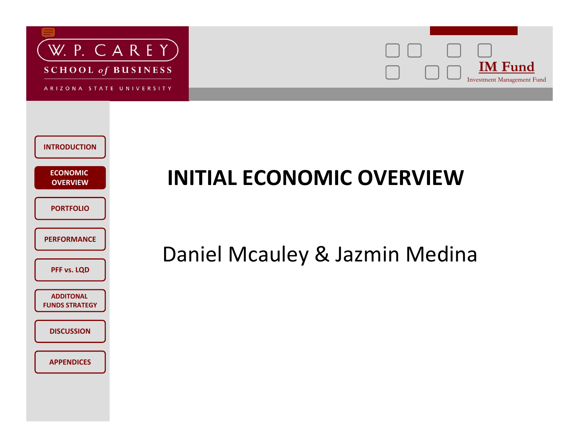



| <b>INTRODUCTION</b>                       |  |
|-------------------------------------------|--|
| <b>ECONOMIC</b><br><b>OVERVIEW</b>        |  |
| <b>PORTFOLIO</b>                          |  |
| <b>PERFORMANCE</b>                        |  |
| PFF vs. LQD                               |  |
| <b>ADDITONAL</b><br><b>FUNDS STRATEGY</b> |  |
| <b>DISCUSSION</b>                         |  |
| <b>APPENDICES</b>                         |  |
|                                           |  |

### **INITIAL ECONOMIC OVERVIEW**

#### Daniel Mcauley & Jazmin Medina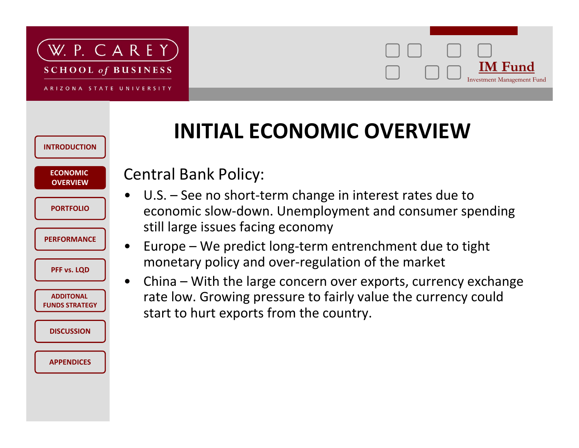



#### **INTRODUCTIONECONOMICOVERVIEWPERFORMANCEPFF vs. LQD ADDITONALFUNDS STRATEGYDISCUSSIONAPPENDICESPORTFOLIO**•• $\bullet$

### **INITIAL ECONOMIC OVERVIEW**

#### Central Bank Policy:

- U.S. See no short-term change in interest rates due to economic slow‐down. Unemployment and consumer spending still large issues facing economy
- Europe We predict long‐term entrenchment due to tight monetary policy and over‐regulation of the market
- China With the large concern over exports, currency exchange rate low. Growing pressure to fairly value the currency could start to hurt exports from the country.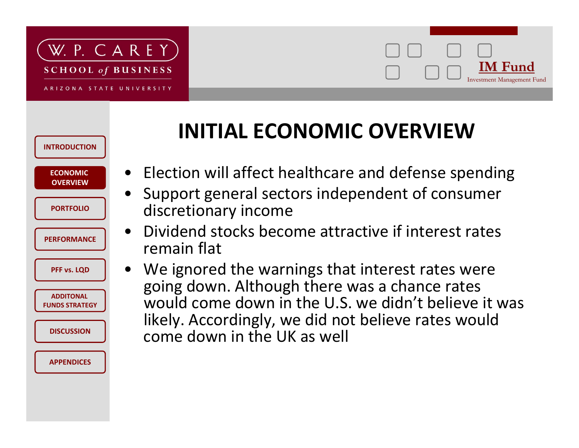#### W. P. CAREY **SCHOOL of BUSINESS**





### **INITIAL ECONOMIC OVERVIEW**

- Election will affect healthcare and defense spending
- Support general sectors independent of consumer
- Dividend stocks become attractive if interest rates
- We ignored the warnings that interest rates were going down. Although there was <sup>a</sup> chance rates would come down in the U.S. we didn't believe it was likely. Accordingly, we did not believe rates would come down in the UK as well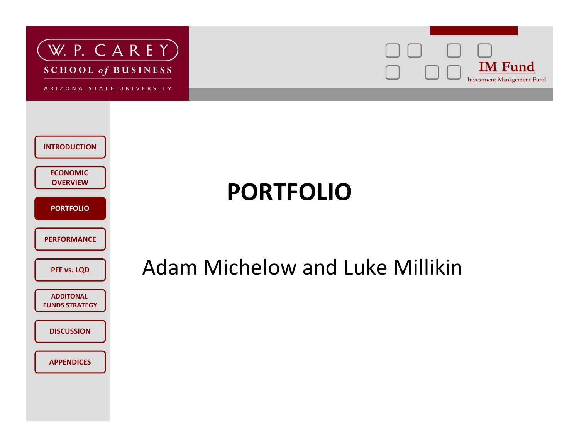

ARIZONA STATE UNIVERSITY



| <b>INTRODUCTION</b>                       |
|-------------------------------------------|
| <b>ECONOMIC</b><br><b>OVERVIEW</b>        |
| <b>PORTFOLIO</b>                          |
| <b>PERFORMANCE</b>                        |
| PFF vs. LQD                               |
| <b>ADDITONAL</b><br><b>FUNDS STRATEGY</b> |
| <b>DISCUSSION</b>                         |
| <b>APPENDICES</b>                         |

### **PORTFOLIO**

### Adam Michelow and Luke Millikin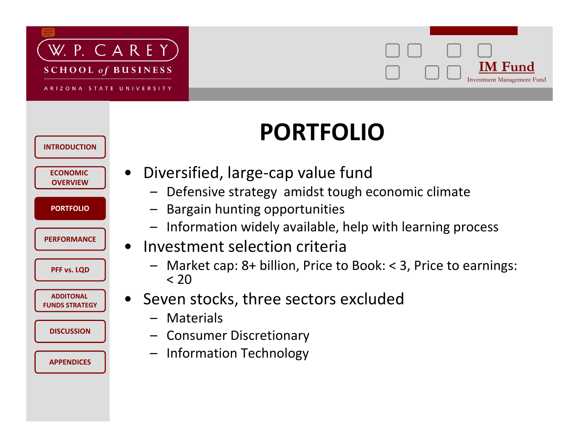



# **PORTFOLIO**

| <b>ECONOMIC</b><br><b>OVERVIEW</b><br><b>PORTFOLIO</b><br><b>PERFORMANCE</b><br>PFF vs. LQD<br><b>ADDITONAL</b><br><b>FUNDS STRATEGY</b><br><b>DISCUSSION</b><br><b>APPENDICES</b> | <b>INTRODUCTION</b> |  |
|------------------------------------------------------------------------------------------------------------------------------------------------------------------------------------|---------------------|--|
|                                                                                                                                                                                    |                     |  |
|                                                                                                                                                                                    |                     |  |
|                                                                                                                                                                                    |                     |  |
|                                                                                                                                                                                    |                     |  |
|                                                                                                                                                                                    |                     |  |
|                                                                                                                                                                                    |                     |  |
|                                                                                                                                                                                    |                     |  |

- Diversified, large‐cap value fund
	- Defensive strategy amidst tough economic climate
	- –Bargain hunting opportunities
	- Information widely available, help with learning process
- Investment selection criteria
	- Market cap: 8+ billion, Price to Book: <sup>&</sup>lt; 3, Price to earnings: < 20
- Seven stocks, three sectors excluded
	- Materials
	- Consumer Discretionary
	- Information Technology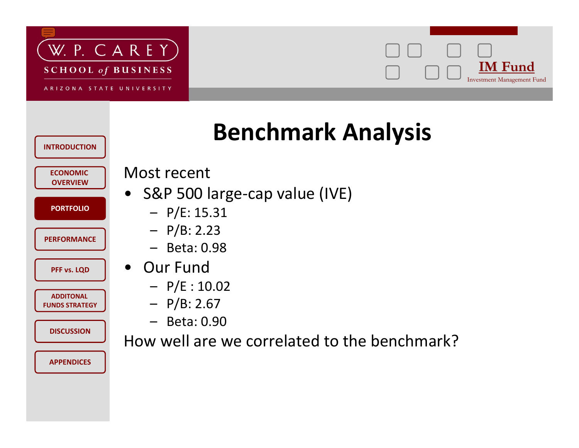



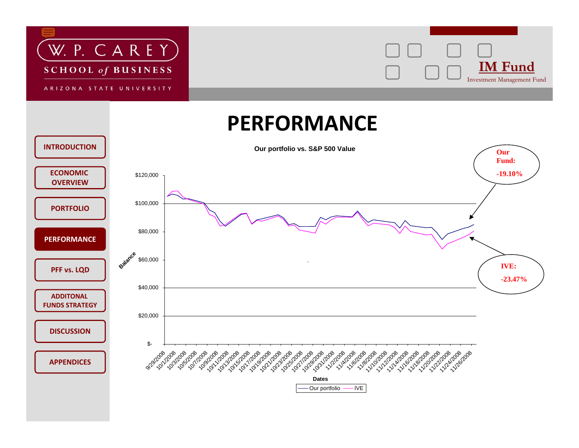![](_page_8_Picture_0.jpeg)

![](_page_8_Picture_2.jpeg)

#### **PERFORMANCE**

![](_page_8_Figure_4.jpeg)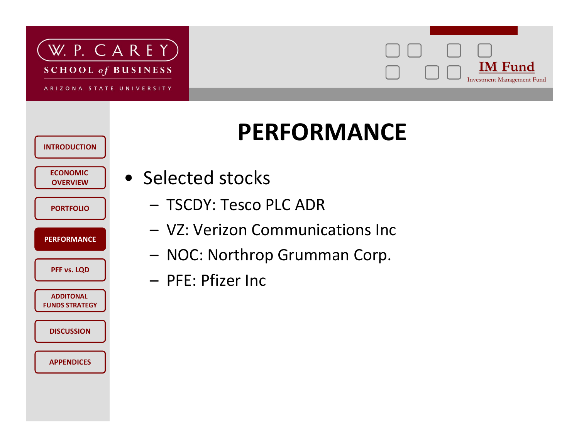![](_page_9_Picture_0.jpeg)

![](_page_9_Picture_2.jpeg)

### **PERFORMANCE**

**ECONOMICOVERVIEW**

**INTRODUCTION**

- **PORTFOLIO**
- **PERFORMANCE**
	- **PFF vs. LQD**
- **ADDITONALFUNDS STRATEGYDISCUSSION**

**APPENDICES**

- Selected stocks
	- TSCDY: Tesco PLC ADR
	- VZ: Verizon Communications Inc
	- –NOC: Northrop Grumman Corp.
	- PFE: Pfizer Inc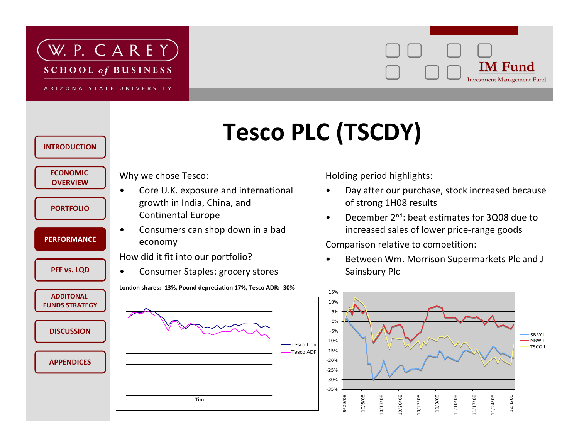![](_page_10_Picture_0.jpeg)

ARIZONA STATE UNIVERSITY

#### **IM Fund IM Fund**Investment Management Fund

# **Tesco PLC (TSCDY)**

| <b>INTRODUCTION</b>                       |                                                              |
|-------------------------------------------|--------------------------------------------------------------|
| <b>ECONOMIC</b><br><b>OVERVIEW</b>        | Why we chose Tesco:<br>Core U.K. exposure and international  |
| <b>PORTFOLIO</b>                          | growth in India, China, and<br><b>Continental Europe</b>     |
| <b>PERFORMANCE</b>                        | Consumers can shop down in a bad<br>economy                  |
|                                           | How did it fit into our portfolio?                           |
| PFF vs. LQD                               | Consumer Staples: grocery stores                             |
|                                           | London shares: -13%, Pound depreciation 17%, Tesco ADR: -30% |
| <b>ADDITONAL</b><br><b>FUNDS STRATEGY</b> |                                                              |
|                                           |                                                              |
| <b>DISCUSSION</b>                         |                                                              |
|                                           |                                                              |
| <b>APPENDICES</b>                         |                                                              |
|                                           |                                                              |
|                                           | <b>Tim</b>                                                   |

Holding period highlights:

- • Day after our purchase, stock increased because of strong 1H08 results
- • December 2nd: beat estimates for 3Q08 due to increased sales of lower price‐range goods

Comparison relative to competition:

• Between Wm. Morrison Supermarkets Plc and J Sainsbury Plc

![](_page_10_Figure_11.jpeg)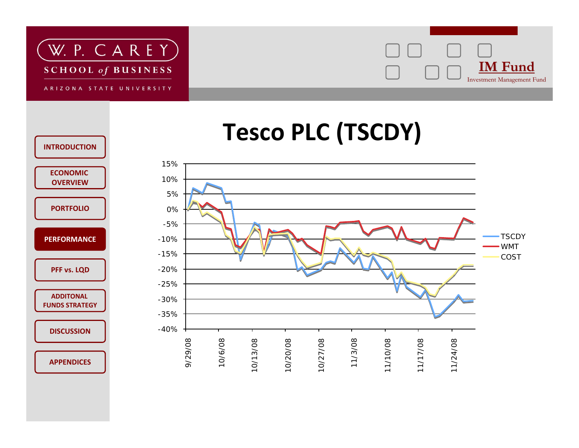![](_page_11_Picture_0.jpeg)

![](_page_11_Picture_2.jpeg)

# **Tesco PLC (TSCDY)**

![](_page_11_Figure_4.jpeg)

![](_page_11_Figure_5.jpeg)

**INTRODUCTION**

**APPENDICES**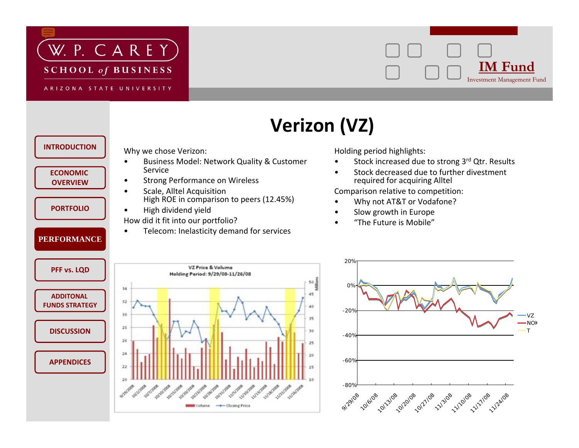![](_page_12_Picture_0.jpeg)

ARIZONA STATE UNIVERSITY

![](_page_12_Picture_3.jpeg)

VZNOKT

### **Verizon (VZ)**

![](_page_12_Figure_5.jpeg)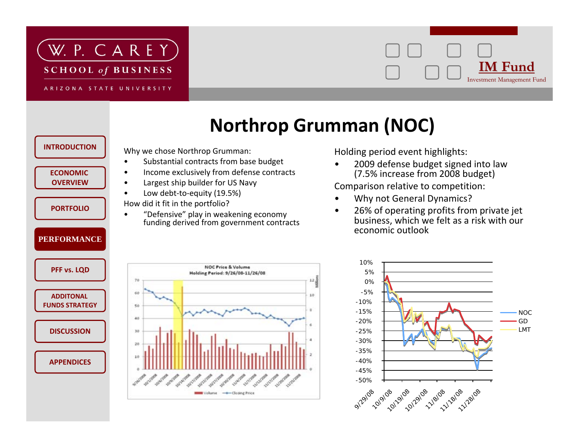![](_page_13_Picture_0.jpeg)

ARIZONA STATE UNIVERSITY

![](_page_13_Picture_3.jpeg)

#### **Northrop Grumman (NOC)**

 $12$ 

10

n

![](_page_13_Figure_5.jpeg)

Holding period event highlights:

• 2009 defense budget signed into law (7.5% increase from 2008 budget)

Comparison relative to competition:

- •Why not General Dynamics?
- • 26% of operating profits from private jet business, which we felt as <sup>a</sup> risk with our economic outlook

![](_page_13_Figure_11.jpeg)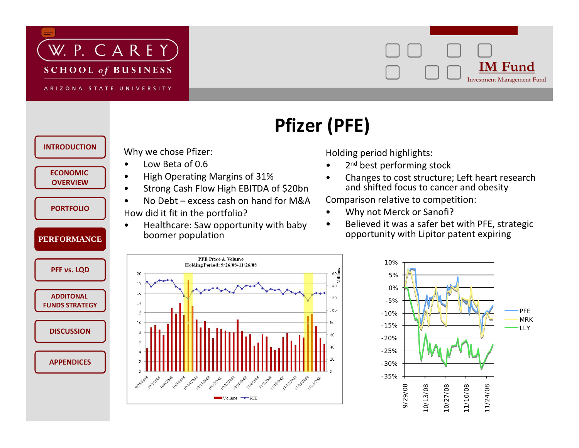![](_page_14_Picture_0.jpeg)

![](_page_14_Picture_2.jpeg)

![](_page_14_Figure_3.jpeg)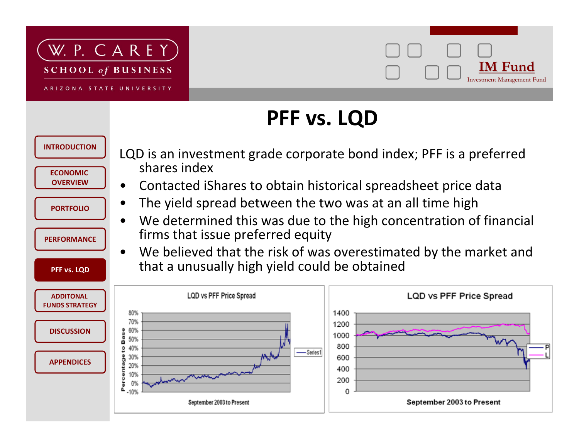![](_page_15_Picture_0.jpeg)

![](_page_15_Picture_2.jpeg)

### **PFF vs. LQD**

![](_page_15_Figure_4.jpeg)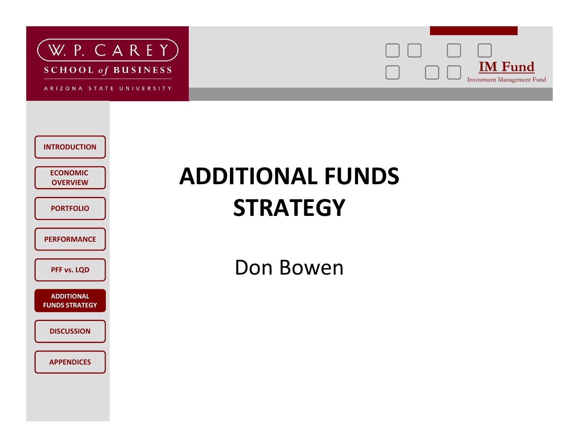![](_page_16_Picture_0.jpeg)

ARIZONA STATE UNIVERSITY

![](_page_16_Picture_3.jpeg)

| <b>INTRODUCTION</b>                        |
|--------------------------------------------|
| <b>ECONOMIC</b><br><b>OVERVIEW</b>         |
| <b>PORTFOLIO</b>                           |
| <b>PERFORMANCE</b>                         |
| PFF vs. LQD                                |
| <b>ADDITIONAL</b><br><b>FUNDS STRATEGY</b> |
| <b>DISCUSSION</b>                          |
| <b>APPENDICES</b>                          |

### **ADDITIONAL FUNDS STRATEGY**

Don Bowen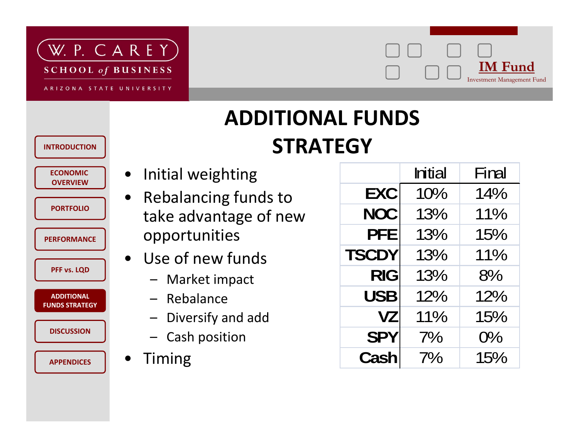![](_page_17_Picture_0.jpeg)

ARIZONA STATE UNIVERSITY

![](_page_17_Picture_3.jpeg)

### **ADDITIONAL FUNDSSTRATEGY**

**ECONOMICOVERVIEW**

**INTRODUCTION**

- **PORTFOLIO**
- **PERFORMANCE**
	- **PFF vs. LQD**

**ADDITONALADDITIONALFUNDS STRATEGY**

**DISCUSSION**

**APPENDICES**

- $\bullet$ Initial weighting
- $\bullet$  Rebalancing funds to take advantage of new opportunities
- $\bullet$  Use of new funds
	- Market impact
	- Rebalance
	- –Diversify and add
	- Cash position
- $\bullet$ Timing

|              | <b>Initial</b> | Final |
|--------------|----------------|-------|
| <b>EXC</b>   | 10%            | 14%   |
| NOC          | 13%            | 11%   |
| <b>PFE</b>   | 13%            | 15%   |
| <b>TSCDY</b> | 13%            | 11%   |
| <b>RIG</b>   | 13%            | 8%    |
| <b>USB</b>   | 12%            | 12%   |
| <b>VZ</b>    | 11%            | 15%   |
| <b>SPY</b>   | 7%             | $O\%$ |
| <b>Cash</b>  | $7\%$          | 15%   |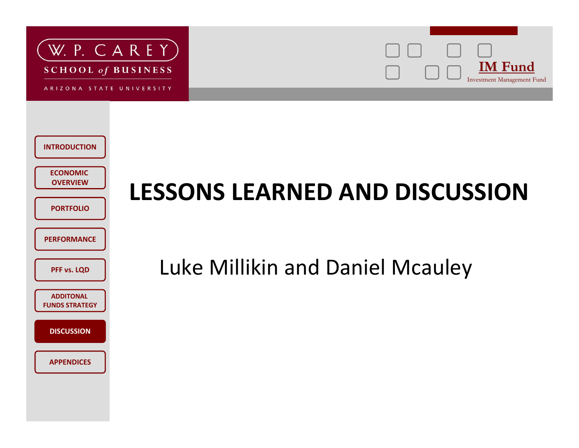![](_page_18_Picture_0.jpeg)

ARIZONA STATE UNIVERSITY

![](_page_18_Picture_3.jpeg)

| <b>INTRODUCTION</b>                       |  |
|-------------------------------------------|--|
| <b>ECONOMIC</b><br><b>OVERVIEW</b>        |  |
| <b>PORTFOLIO</b>                          |  |
| <b>PERFORMANCE</b>                        |  |
| PFF vs. LQD                               |  |
| <b>ADDITONAL</b><br><b>FUNDS STRATEGY</b> |  |
| <b>DISCUSSION</b>                         |  |
| <b>APPENDICES</b>                         |  |

# **LESSONS LEARNED AND DISCUSSION**

Luke Millikin and Daniel Mcauley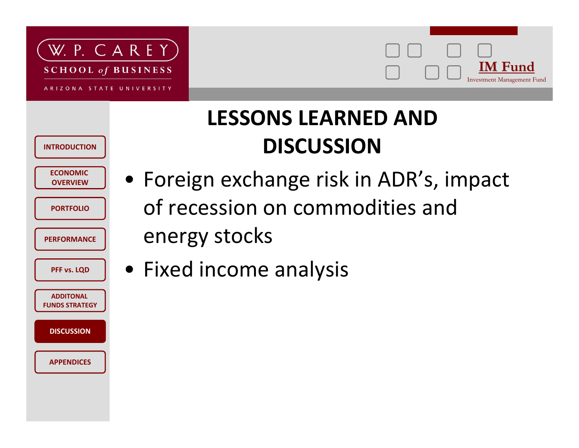![](_page_19_Picture_0.jpeg)

![](_page_19_Picture_2.jpeg)

### **LESSONS LEARNED AND DISCUSSION**

**ECONOMICOVERVIEW**

**INTRODUCTION**

**PORTFOLIO**

**PERFORMANCE**

**PFF vs. LQD**

**ADDITONALFUNDS STRATEGYDISCUSSION**

**APPENDICES**

• Foreign exchange risk in ADR's, impact of recession on commodities and energy stocks

• Fixed income analysis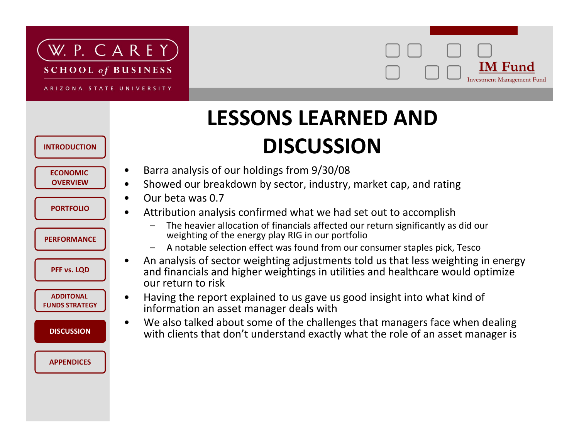![](_page_20_Picture_0.jpeg)

ARIZONA STATE UNIVERSITY

#### **IM Fund IM Fund**Investment Management Fund

### **LESSONS LEARNED AND DISCUSSION**

- •Barra analysis of our holdings from 9/30/08
- •• Showed our breakdown by sector, industry, market cap, and rating
- •Our beta was 0.7
- • Attribution analysis confirmed what we had set out to accomplish
	- The heavier allocation of financials affected our return significantly as did our weighting of the energy play RIG in our portfolio
	- A notable selection effect was found from our consumer staples pick, Tesco
- • An analysis of sector weighting adjustments told us that less weighting in energy and financials and higher weightings in utilities and healthcare would optimize our return to risk
- • Having the report explained to us gave us good insight into what kind of information an asset manager deals with
- • We also talked about some of the challenges that managers face when dealing with clients that don't understand exactly what the role of an asset manager is

![](_page_20_Figure_14.jpeg)

**DISCUSSION**

**ECONOMICOVERVIEW**

**PORTFOLIO**

**INTRODUCTION**

```
PERFORMANCE
```
**PFF vs. LQD**

**ADDITONALFUNDS STRATEGY**